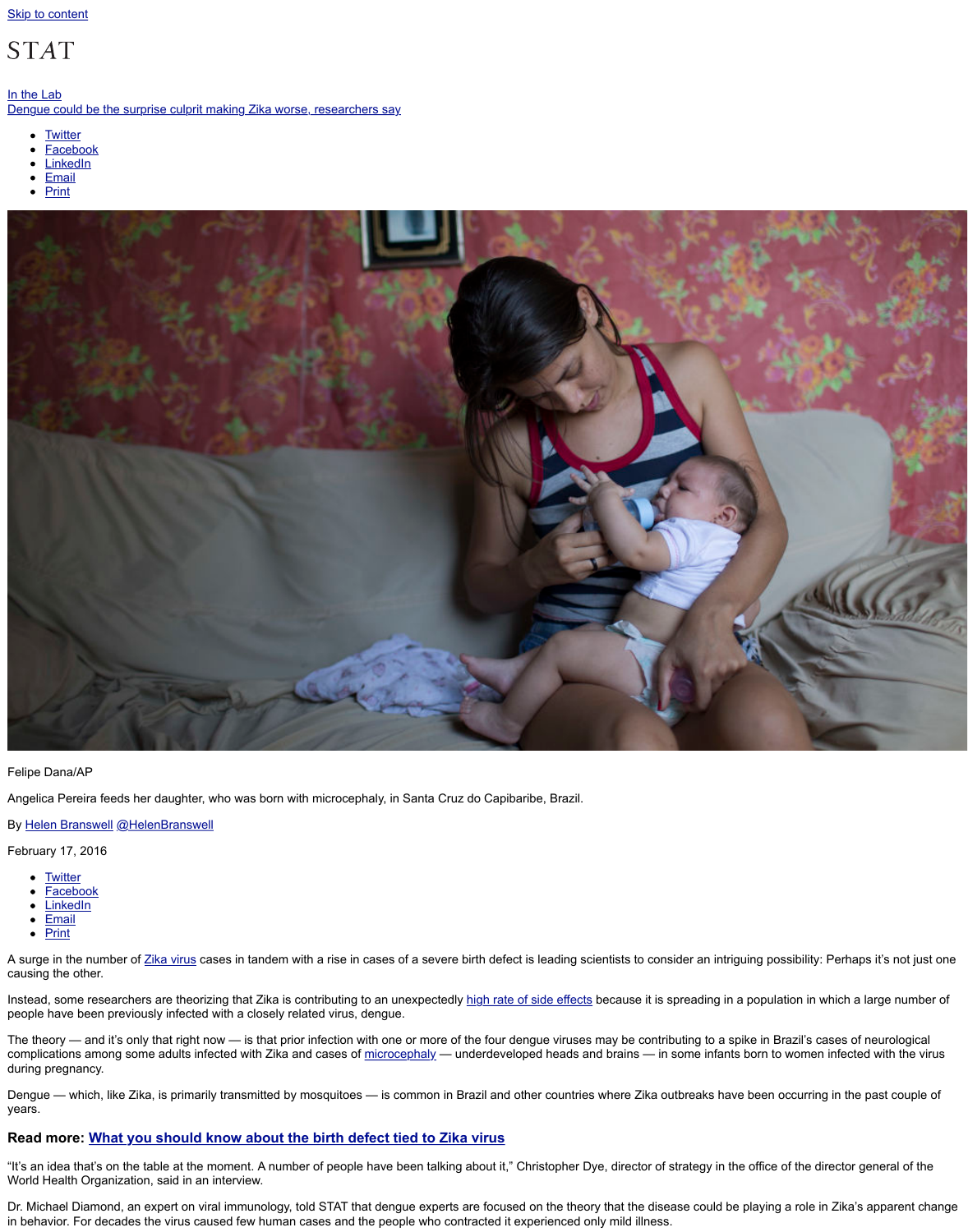

Felipe Dana/AP

Angelica Pereira feeds her daughter, who was born with microcephaly, in Santa Cruz do Capibaribe, Braz

By Helen Branswell @HelenBranswell

February 17, 2016

- Twitter
- Facebook
- LinkedIn
- Email
- Print

A surge in the number of Zika virus cases in tandem with a rise in cases of a severe birth defect is leading causing the other.

Instead, some researchers are theorizing that Zika is contributing to an unexpectedly high rate of side effect people have been previously infected with a closely related virus, dengue.

The theory — and it's only that right now — is that prior infection with one or more of the four dengue viru complications among some adults infected with Zika and cases of microcephaly — underdeveloped head during pregnancy.

Dengue — which, like Zika, is primarily transmitted by mosquitoes — is common in Brazil and other count years.

## **Read more: What you should know about the birth defect tied to Zika virus**

"It's an idea that's on the table at the moment. A number of people have been talking about it," Christophe World Health Organization, said in an interview.

Dr. Michael Diamond, an expert on viral immunology, told STAT that dengue experts are focused on the the in behavior. For decades the virus caused few human cases and the people who contracted it experience